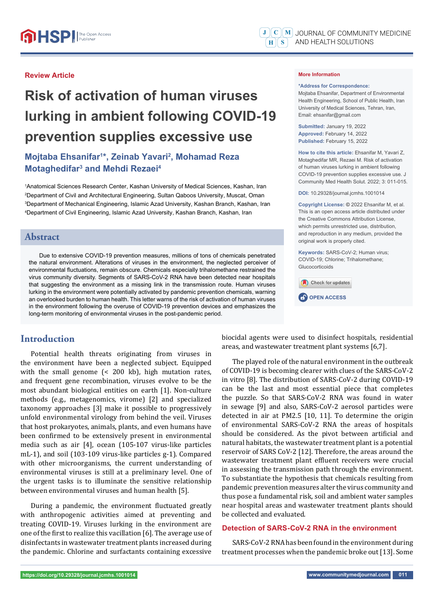#### **Review Article**

# **Risk of activation of human viruses lurking in ambient following COVID-19 prevention supplies excessive use**

# **Mojtaba Ehsanifar1 \*, Zeinab Yavari2 , Mohamad Reza Motaghedifar3 and Mehdi Rezaei4**

 Anatomical Sciences Research Center, Kashan University of Medical Sciences, Kashan, Iran Department of Civil and Architectural Engineering, Sultan Qaboos University, Muscat, Oman Department of Mechanical Engineering, Islamic Azad University, Kashan Branch, Kashan, Iran Department of Civil Engineering, Islamic Azad University, Kashan Branch, Kashan, Iran

## **Abstract**

Due to extensive COVID-19 prevention measures, millions of tons of chemicals penetrated the natural environment. Alterations of viruses in the environment, the neglected perceiver of environmental fluctuations, remain obscure. Chemicals especially trihalomethane restrained the virus community diversity. Segments of SARS-CoV-2 RNA have been detected near hospitals that suggesting the environment as a missing link in the transmission route. Human viruses lurking in the environment were potentially activated by pandemic prevention chemicals, warning an overlooked burden to human health. This letter warns of the risk of activation of human viruses in the environment following the overuse of COVID-19 prevention devices and emphasizes the long-term monitoring of environmental viruses in the post-pandemic period.

## **Introduction**

Potential health threats originating from viruses in the environment have been a neglected subject. Equipped with the small genome (< 200 kb), high mutation rates, and frequent gene recombination, viruses evolve to be the most abundant biological entities on earth [1]. Non-culture methods (e.g., metagenomics, virome) [2] and specialized taxonomy approaches [3] make it possible to progressively unfold environmental virology from behind the veil. Viruses that host prokaryotes, animals, plants, and even humans have been confirmed to be extensively present in environmental media such as air [4], ocean (105-107 virus-like particles mL-1), and soil (103-109 virus-like particles g-1). Compared with other microorganisms, the current understanding of environmental viruses is still at a preliminary level. One of the urgent tasks is to illuminate the sensitive relationship between environmental viruses and human health [5].

During a pandemic, the environment fluctuated greatly with anthropogenic activities aimed at preventing and treating COVID-19. Viruses lurking in the environment are one of the first to realize this vacillation [6]. The average use of disinfectants in wastewater treatment plants increased during the pandemic. Chlorine and surfactants containing excessive

#### **More Information**

#### **\*Address for Correspondence:**

Mojtaba Ehsanifar, Department of Environmental Health Engineering, School of Public Health, Iran University of Medical Sciences, Tehran, Iran, Email: ehsanifar@gmail.com

**Submitted:** January 19, 2022 **Approved:** February 14, 2022 **Published:** February 15, 2022

**How to cite this article:** Ehsanifar M, Yavari Z, Motaghedifar MR, Rezaei M. Risk of activation of human viruses lurking in ambient following COVID-19 prevention supplies excessive use. J Community Med Health Solut. 2022; 3: 011-015.

**DOI:** 10.29328/journal.jcmhs.1001014

**Copyright License: ©** 2022 Ehsanifar M, et al. This is an open access article distributed under the Creative Commons Attribution License, which permits unrestricted use, distribution, and reproduction in any medium, provided the original work is properly cited.

**Keywords:** SARS-CoV-2; Human virus; COVID-19; Chlorine; Trihalomethane; Glucocorticoids

Check for updates



biocidal agents were used to disinfect hospitals, residential areas, and wastewater treatment plant systems [6,7].

The played role of the natural environment in the outbreak of COVID-19 is becoming clearer with clues of the SARS-CoV-2 in vitro [8]. The distribution of SARS-CoV-2 during COVID-19 can be the last and most essential piece that completes the puzzle. So that SARS-CoV-2 RNA was found in water in sewage [9] and also, SARS-CoV-2 aerosol particles were detected in air at PM2.5 [10, 11]. To determine the origin of environmental SARS-CoV-2 RNA the areas of hospitals should be considered. As the pivot between artificial and natural habitats, the wastewater treatment plant is a potential reservoir of SARS CoV-2 [12]. Therefore, the areas around the wastewater treatment plant effluent receivers were crucial in assessing the transmission path through the environment. To substantiate the hypothesis that chemicals resulting from pandemic prevention measures alter the virus community and thus pose a fundamental risk, soil and ambient water samples near hospital areas and wastewater treatment plants should be collected and evaluated.

#### **Detection of SARS-CoV-2 RNA in the environment**

SARS-CoV-2 RNA has been found in the environment during treatment processes when the pandemic broke out [13]. Some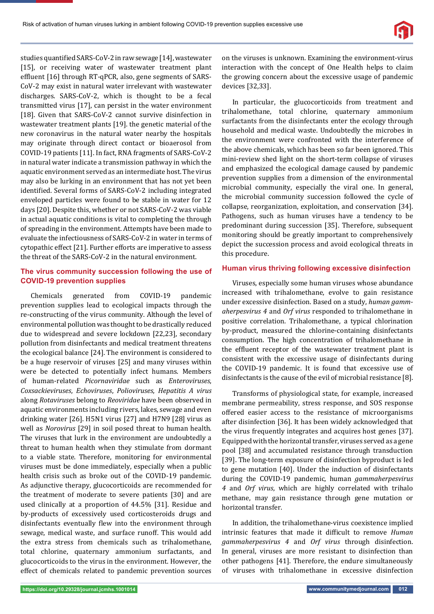studies quantified SARS-CoV-2 in raw sewage [14], wastewater [15], or receiving water of wastewater treatment plant effluent [16] through RT-qPCR, also, gene segments of SARS-CoV-2 may exist in natural water irrelevant with wastewater discharges. SARS-CoV-2, which is thought to be a fecal transmitted virus [17], can persist in the water environment [18]. Given that SARS-CoV-2 cannot survive disinfection in wastewater treatment plants [19]. the genetic material of the new coronavirus in the natural water nearby the hospitals may originate through direct contact or bioaerosol from COVID-19 patients [11]. In fact, RNA fragments of SARS-CoV-2 in natural water indicate a transmission pathway in which the aquatic environment served as an intermediate host. The virus may also be lurking in an environment that has not yet been identified. Several forms of SARS-CoV-2 including integrated enveloped particles were found to be stable in water for 12 days [20]. Despite this, whether or not SARS-CoV-2 was viable in actual aquatic conditions is vital to completing the through of spreading in the environment. Attempts have been made to evaluate the infectiousness of SARS-CoV-2 in water in terms of cytopathic effect [21]. Further efforts are imperative to assess the threat of the SARS-CoV-2 in the natural environment.

#### **The virus community succession following the use of COVID-19 prevention supplies**

Chemicals generated from COVID-19 pandemic prevention supplies lead to ecological impacts through the re-constructing of the virus community. Although the level of environmental pollution was thought to be drastically reduced due to widespread and severe lockdown [22,23], secondary pollution from disinfectants and medical treatment threatens the ecological balance [24]. The environment is considered to be a huge reservoir of viruses [25] and many viruses within were be detected to potentially infect humans. Members of human-related *Picornaviridae* such as *Enteroviruses*, *Coxsackieviruses*, *Echoviruses*, *Polioviruses*, *Hepatitis A virus*  along *Rotaviruses* belong to *Reoviridae* have been observed in aquatic environments including rivers, lakes, sewage and even drinking water [26]. H5N1 virus [27] and H7N9 [28] virus as well as *Norovirus* [29] in soil posed threat to human health. The viruses that lurk in the environment are undoubtedly a threat to human health when they stimulate from dormant to a viable state. Therefore, monitoring for environmental viruses must be done immediately, especially when a public health crisis such as broke out of the COVID-19 pandemic. As adjunctive therapy, glucocorticoids are recommended for the treatment of moderate to severe patients [30] and are used clinically at a proportion of 44.5% [31]. Residue and by-products of excessively used corticosteroids drugs and disinfectants eventually flew into the environment through sewage, medical waste, and surface runoff. This would add the extra stress from chemicals such as trihalomethane, total chlorine, quaternary ammonium surfactants, and glucocorticoids to the virus in the environment. However, the effect of chemicals related to pandemic prevention sources on the viruses is unknown. Examining the environment-virus interaction with the concept of One Health helps to claim the growing concern about the excessive usage of pandemic devices [32,33].

In particular, the glucocorticoids from treatment and trihalomethane, total chlorine, quaternary ammonium surfactants from the disinfectants enter the ecology through household and medical waste. Undoubtedly the microbes in the environment were confronted with the interference of the above chemicals, which has been so far been ignored. This mini-review shed light on the short-term collapse of viruses and emphasized the ecological damage caused by pandemic prevention supplies from a dimension of the environmental microbial community, especially the viral one. In general, the microbial community succession followed the cycle of collapse, reorganization, exploitation, and conservation [34]. Pathogens, such as human viruses have a tendency to be predominant during succession [35]. Therefore, subsequent monitoring should be greatly important to comprehensively depict the succession process and avoid ecological threats in this procedure.

#### **Human virus thriving following excessive disinfection**

Viruses, especially some human viruses whose abundance increased with trihalomethane, evolve to gain resistance under excessive disinfection. Based on a study, *human gammaherpesvirus 4* and *Orf virus* responded to trihalomethane in positive correlation. Trihalomethane, a typical chlorination by-product, measured the chlorine-containing disinfectants consumption. The high concentration of trihalomethane in the effluent receptor of the wastewater treatment plant is consistent with the excessive usage of disinfectants during the COVID-19 pandemic. It is found that excessive use of disinfectants is the cause of the evil of microbial resistance [8].

Transforms of physiological state, for example, increased membrane permeability, stress response, and SOS response offered easier access to the resistance of microorganisms after disinfection [36]. It has been widely acknowledged that the virus frequently integrates and acquires host genes [37]. Equipped with the horizontal transfer, viruses served as a gene pool [38] and accumulated resistance through transduction [39]. The long-term exposure of disinfection byproduct is led to gene mutation [40]. Under the induction of disinfectants during the COVID-19 pandemic, human *gammaherpesvirus 4* and *Orf virus*, which are highly correlated with trihalo methane, may gain resistance through gene mutation or horizontal transfer.

In addition, the trihalomethane-virus coexistence implied intrinsic features that made it difficult to remove *Human gammaherpesvirus 4* and *Orf virus* through disinfection. In general, viruses are more resistant to disinfection than other pathogens [41]. Therefore, the endure simultaneously of viruses with trihalomethane in excessive disinfection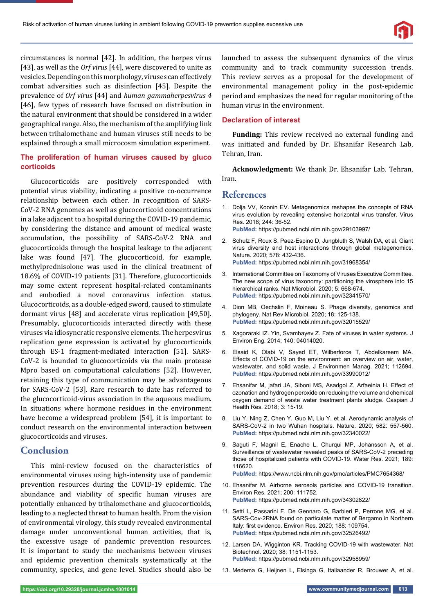circumstances is normal [42]. In addition, the herpes virus [43], as well as the *Orf virus* [44], were discovered to unite as vesicles. Depending on this morphology, viruses can effectively combat adversities such as disinfection [45]. Despite the prevalence of *Orf virus* [44] and *human gammaherpesvirus 4* [46], few types of research have focused on distribution in the natural environment that should be considered in a wider geographical range. Also, the mechanism of the amplifying link between trihalomethane and human viruses still needs to be explained through a small microcosm simulation experiment.

### **The proliferation of human viruses caused by gluco corticoids**

Glucocorticoids are positively corresponded with potential virus viability, indicating a positive co-occurrence relationship between each other. In recognition of SARS-CoV-2 RNA genomes as well as glucocorticoid concentrations in a lake adjacent to a hospital during the COVID-19 pandemic, by considering the distance and amount of medical waste accumulation, the possibility of SARS-CoV-2 RNA and glucocorticoids through the hospital leakage to the adjacent lake was found [47]. The glucocorticoid, for example, methylprednisolone was used in the clinical treatment of 18.6% of COVID-19 patients [31]. Therefore, glucocorticoids may some extent represent hospital-related contaminants and embodied a novel coronavirus infection status. Glucocorticoids, as a double-edged sword, caused to stimulate dormant virus [48] and accelerate virus replication [49,50]. Presumably, glucocorticoids interacted directly with these viruses via idiosyncratic responsive elements. The herpesvirus replication gene expression is activated by glucocorticoids through ES-1 fragment-mediated interaction [51]. SARS-CoV-2 is bounded to glucocorticoids via the main protease Mpro based on computational calculations [52]. However, retaining this type of communication may be advantageous for SARS-CoV-2 [53]. Rare research to date has referred to the glucocorticoid-virus association in the aqueous medium. In situations where hormone residues in the environment have become a widespread problem [54], it is important to conduct research on the environmental interaction between glucocorticoids and viruses.

## **Conclusion**

This mini-review focused on the characteristics of environmental viruses using high-intensity use of pandemic prevention resources during the COVID-19 epidemic. The abundance and viability of specific human viruses are potentially enhanced by trihalomethane and glucocorticoids, leading to a neglected threat to human health. From the vision of environmental virology, this study revealed environmental damage under unconventional human activities, that is, the excessive usage of pandemic prevention resources. It is important to study the mechanisms between viruses and epidemic prevention chemicals systematically at the community, species, and gene level. Studies should also be

launched to assess the subsequent dynamics of the virus community and to track community succession trends. This review serves as a proposal for the development of environmental management policy in the post-epidemic period and emphasizes the need for regular monitoring of the human virus in the environment.

#### **Declaration of interest**

**Funding:** This review received no external funding and was initiated and funded by Dr. Ehsanifar Research Lab, Tehran, Iran.

**Acknowledgment:** We thank Dr. Ehsanifar Lab. Tehran, Iran.

### **References**

- 1. Dolja VV, Koonin EV. Metagenomics reshapes the concepts of RNA virus evolution by revealing extensive horizontal virus transfer. Virus Res. 2018; 244: 36-52. **PubMed:** https://pubmed.ncbi.nlm.nih.gov/29103997/
- 2. Schulz F, Roux S, Paez-Espino D, Jungbluth S, Walsh DA, et al. Giant virus diversity and host interactions through global metagenomics. Nature. 2020; 578: 432-436. **PubMed:** https://pubmed.ncbi.nlm.nih.gov/31968354/
- 3. International Committee on Taxonomy of Viruses Executive Committee. The new scope of virus taxonomy: partitioning the virosphere into 15 hierarchical ranks. Nat Microbiol. 2020; 5: 668-674. **PubMed:** https://pubmed.ncbi.nlm.nih.gov/32341570/
- 4. Dion MB, Oechslin F, Moineau S. Phage diversity, genomics and phylogeny. Nat Rev Microbiol. 2020; 18: 125-138. **PubMed:** https://pubmed.ncbi.nlm.nih.gov/32015529/
- 5. Xagoraraki IZ. Yin, Svambayev Z. Fate of viruses in water systems. J Environ Eng. 2014; 140: 04014020.
- 6. Elsaid K, Olabi V, Sayed ET, Wilberforce T, Abdelkareem MA. Effects of COVID-19 on the environment: an overview on air, water, wastewater, and solid waste. J Environmen Manag. 2021; 112694. **PubMed:** https://pubmed.ncbi.nlm.nih.gov/33990012/
- 7. Ehsanifar M, jafari JA, Siboni MS, Asadgol Z, Arfaeinia H. Effect of ozonation and hydrogen peroxide on reducing the volume and chemical oxygen demand of waste water treatment plants sludge. Caspian J Health Res. 2018; 3: 15-19.
- 8. Liu Y, Ning Z, Chen Y, Guo M, Liu Y, et al. Aerodynamic analysis of SARS-CoV-2 in two Wuhan hospitals. Nature. 2020; 582: 557-560. **PubMed:** https://pubmed.ncbi.nlm.nih.gov/32340022/
- 9. Saguti F, Magnil E, Enache L, Churqui MP, Johansson A, et al. Surveillance of wastewater revealed peaks of SARS-CoV-2 preceding those of hospitalized patients with COVID-19. Water Res. 2021; 189: 116620.
	- **PubMed:** https://www.ncbi.nlm.nih.gov/pmc/articles/PMC7654368/
- 10. Ehsanifar M. Airborne aerosols particles and COVID-19 transition. Environ Res. 2021; 200: 111752. **PubMed:** https://pubmed.ncbi.nlm.nih.gov/34302822/
- 11. Setti L, Passarini F, De Gennaro G, Barbieri P, Perrone MG, et al. SARS-Cov-2RNA found on particulate matter of Bergamo in Northern Italy: first evidence. Environ Res. 2020; 188: 109754. **PubMed:** https://pubmed.ncbi.nlm.nih.gov/32526492/
- 12. Larsen DA, Wigginton KR. Tracking COVID-19 with wastewater. Nat Biotechnol. 2020; 38: 1151-1153. **PubMed:** https://pubmed.ncbi.nlm.nih.gov/32958959/
- 13. Medema G, Heijnen L, Elsinga G, Italiaander R, Brouwer A, et al.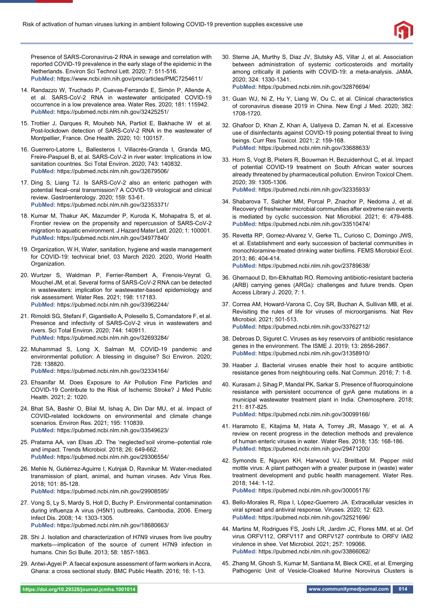

Presence of SARS-Coronavirus-2 RNA in sewage and correlation with reported COVID-19 prevalence in the early stage of the epidemic in the Netherlands. Environ Sci Technol Lett. 2020; 7: 511-516. **PubMed:** https://www.ncbi.nlm.nih.gov/pmc/articles/PMC7254611/

- 14. Randazzo W, Truchado P, Cuevas-Ferrando E, Simón P, Allende A, et al. SARS-CoV-2 RNA in wastewater anticipated COVID-19 occurrence in a low prevalence area. Water Res. 2020; 181: 115942. **PubMed:** https://pubmed.ncbi.nlm.nih.gov/32425251/
- 15. Trottier J, Darques R, Mouheb NA, Partiot E, Bakhache W et al. Post-lockdown detection of SARS-CoV-2 RNA in the wastewater of Montpellier, France. One Health. 2020; 10: 100157.
- 16. Guerrero-Latorre L, Ballesteros I, Villacrés-Granda I, Granda MG, Freire-Paspuel B, et al. SARS-CoV-2 in river water: Implications in low sanitation countries. Sci Total Environ. 2020; 743: 140832. **PubMed:** https://pubmed.ncbi.nlm.nih.gov/32679506/
- 17. Ding S, Liang TJ. Is SARS-CoV-2 also an enteric pathogen with potential fecal–oral transmission? A COVID-19 virological and clinical review. Gastroenterology. 2020; 159: 53-61. **PubMed:** https://pubmed.ncbi.nlm.nih.gov/32353371/
- 18. Kumar M, Thakur AK, Mazumder P, Kuroda K, Mohapatra S, et al. Frontier review on the propensity and repercussion of SARS-CoV-2 migration to aquatic environment. J Hazard Mater Lett. 2020; 1: 100001. **PubMed:** https://pubmed.ncbi.nlm.nih.gov/34977840/
- 19. Organization, W.H, Water, sanitation, hygiene and waste management for COVID-19: technical brief, 03 March 2020. 2020, World Health Organization.
- 20. Wurtzer S, Waldman P, Ferrier-Rembert A, Frenois-Veyrat G, Mouchel JM, et al. Several forms of SARS-CoV-2 RNA can be detected in wastewaters: implication for wastewater-based epidemiology and risk assessment. Water Res. 2021; 198: 117183. **PubMed:** https://pubmed.ncbi.nlm.nih.gov/33962244/
- 21. Rimoldi SG, Stefani F, Gigantiello A, Polesello S, Comandatore F, et al. Presence and infectivity of SARS-CoV-2 virus in wastewaters and rivers. Sci Total Environ. 2020; 744: 140911. **PubMed:** https://pubmed.ncbi.nlm.nih.gov/32693284/
- 22. Muhammad S, Long X, Salman M, COVID-19 pandemic and environmental pollution: A blessing in disguise? Sci Environ. 2020; 728: 138820.
	- **PubMed:** https://pubmed.ncbi.nlm.nih.gov/32334164/
- 23. Ehsanifar M. Does Exposure to Air Pollution Fine Particles and COVID-19 Contribute to the Risk of Ischemic Stroke? J Med Public Health. 2021; 2: 1020.
- 24. Bhat SA, Bashir O, Bilal M, Ishaq A, Din Dar MU, et al. Impact of COVID-related lockdowns on environmental and climate change scenarios. Environ Res. 2021; 195: 110839. **PubMed:** https://pubmed.ncbi.nlm.nih.gov/33549623/
- 25. Pratama AA, van Elsas JD. The 'neglected'soil virome–potential role and impact. Trends Microbiol. 2018; 26: 649-662. **PubMed:** https://pubmed.ncbi.nlm.nih.gov/29306554/
- 26. Mehle N, Gutiérrez-Aguirre I, Kutnjak D, Ravnikar M. Water-mediated transmission of plant, animal, and human viruses. Adv Virus Res. 2018; 101: 85-128. **PubMed:** https://pubmed.ncbi.nlm.nih.gov/29908595/
- 27. Vong S, Ly S, Mardy S, Holl D, Buchy P. Environmental contamination during influenza A virus (H5N1) outbreaks, Cambodia, 2006. Emerg Infect Dis. 2008; 14: 1303-1305. **PubMed:** https://pubmed.ncbi.nlm.nih.gov/18680663/
- 28. Shi J. Isolation and characterization of H7N9 viruses from live poultry markets—implication of the source of current H7N9 infection in humans. Chin Sci Bulle. 2013; 58: 1857-1863.
- 29. Antwi-Agyei P. A faecal exposure assessment of farm workers in Accra, Ghana: a cross sectional study. BMC Public Health. 2016; 16: 1-13.

30. Sterne JA, Murthy S, Diaz JV, Slutsky AS, Villar J, et al. Association between administration of systemic corticosteroids and mortality among critically ill patients with COVID-19: a meta-analysis. JAMA. 2020; 324: 1330-1341.

**PubMed:** https://pubmed.ncbi.nlm.nih.gov/32876694/

- 31. Guan WJ, Ni Z, Hu Y, Liang W, Ou C, et al. Clinical characteristics of coronavirus disease 2019 in China. New Engl J Med. 2020; 382: 1708-1720.
- 32. Ghafoor D, Khan Z, Khan A, Ualiyeva D, Zaman N, et al. Excessive use of disinfectants against COVID-19 posing potential threat to living beings. Curr Res Toxicol. 2021; 2: 159-168. **PubMed:** https://pubmed.ncbi.nlm.nih.gov/33688633/
- 33. Horn S, Vogt B, Pieters R, Bouwman H, Bezuidenhout C, et al. Impact of potential COVID-19 treatment on South African water sources already threatened by pharmaceutical pollution. Environ Toxicol Chem. 2020; 39: 1305-1306. **PubMed:** https://pubmed.ncbi.nlm.nih.gov/32335933/
- 34. Shabarova T, Salcher MM, Porcal P, Znachor P, Nedoma J, et al. Recovery of freshwater microbial communities after extreme rain events is mediated by cyclic succession. Nat Microbiol. 2021; 6: 479-488. **PubMed:** https://pubmed.ncbi.nlm.nih.gov/33510474/
- 35. Revetta RP, Gomez-Alvarez V, Gerke TL, Curioso C, Domingo JWS, et al. Establishment and early succession of bacterial communities in monochloramine-treated drinking water biofilms. FEMS Microbiol Ecol. 2013; 86: 404-414.
	- **PubMed:** https://pubmed.ncbi.nlm.nih.gov/23789638/
- 36. Ghernaout D, Ibn-Elkhattab RO. Removing antibiotic-resistant bacteria (ARB) carrying genes (ARGs): challenges and future trends. Open Access Library J. 2020; 7: 1.
- 37. Correa AM, Howard-Varona C, Coy SR, Buchan A, Sullivan MB, et al. Revisiting the rules of life for viruses of microorganisms. Nat Rev Microbiol. 2021; 501-513. **PubMed:** https://pubmed.ncbi.nlm.nih.gov/33762712/
- 38. Debroas D, Siguret C. Viruses as key reservoirs of antibiotic resistance genes in the environment. The ISME J. 2019; 13: 2856-2867. **PubMed:** https://pubmed.ncbi.nlm.nih.gov/31358910/
- 39. Haaber J. Bacterial viruses enable their host to acquire antibiotic resistance genes from neighbouring cells. Nat Commun. 2016; 7: 1-8.
- 40. Kurasam J, Sihag P, Mandal PK, Sarkar S. Presence of fluoroquinolone resistance with persistent occurrence of gyrA gene mutations in a municipal wastewater treatment plant in India. Chemosphere. 2018; 211: 817-825.

**PubMed:** https://pubmed.ncbi.nlm.nih.gov/30099166/

- 41. Haramoto E, Kitajima M, Hata A, Torrey JR, Masago Y, et al. A review on recent progress in the detection methods and prevalence of human enteric viruses in water. Water Res. 2018; 135: 168-186. **PubMed:** https://pubmed.ncbi.nlm.nih.gov/29471200/
- 42. Symonds E, Nguyen KH, Harwood VJ, Breitbart M. Pepper mild mottle virus: A plant pathogen with a greater purpose in (waste) water treatment development and public health management. Water Res. 2018; 144: 1-12. **PubMed:** https://pubmed.ncbi.nlm.nih.gov/30005176/
- 43. Bello-Morales R, Ripa I, López-Guerrero JA. Extracellular vesicles in viral spread and antiviral response. Viruses. 2020; 12: 623. **PubMed:** https://pubmed.ncbi.nlm.nih.gov/32521696/
- 44. Martins M, Rodrigues FS, Joshi LR, Jardim JC, Flores MM, et al. Orf virus ORFV112, ORFV117 and ORFV127 contribute to ORFV IA82 virulence in shee. Vet Microbiol. 2021; 257: 109066. **PubMed:** https://pubmed.ncbi.nlm.nih.gov/33866062/
- 45. Zhang M, Ghosh S, Kumar M, Santiana M, Bleck CKE, et al. Emerging Pathogenic Unit of Vesicle-Cloaked Murine Norovirus Clusters is